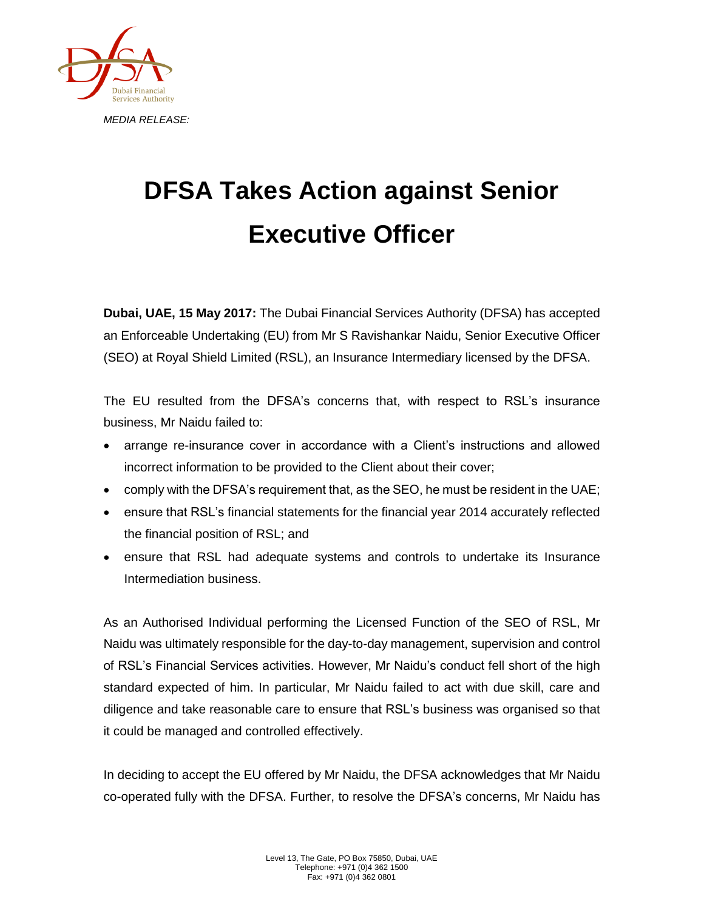

## **DFSA Takes Action against Senior Executive Officer**

**Dubai, UAE, 15 May 2017:** The Dubai Financial Services Authority (DFSA) has accepted an Enforceable Undertaking (EU) from Mr S Ravishankar Naidu, Senior Executive Officer (SEO) at Royal Shield Limited (RSL), an Insurance Intermediary licensed by the DFSA.

The EU resulted from the DFSA's concerns that, with respect to RSL's insurance business, Mr Naidu failed to:

- arrange re-insurance cover in accordance with a Client's instructions and allowed incorrect information to be provided to the Client about their cover;
- comply with the DFSA's requirement that, as the SEO, he must be resident in the UAE;
- ensure that RSL's financial statements for the financial year 2014 accurately reflected the financial position of RSL; and
- ensure that RSL had adequate systems and controls to undertake its Insurance Intermediation business.

As an Authorised Individual performing the Licensed Function of the SEO of RSL, Mr Naidu was ultimately responsible for the day-to-day management, supervision and control of RSL's Financial Services activities. However, Mr Naidu's conduct fell short of the high standard expected of him. In particular, Mr Naidu failed to act with due skill, care and diligence and take reasonable care to ensure that RSL's business was organised so that it could be managed and controlled effectively.

In deciding to accept the EU offered by Mr Naidu, the DFSA acknowledges that Mr Naidu co-operated fully with the DFSA. Further, to resolve the DFSA's concerns, Mr Naidu has